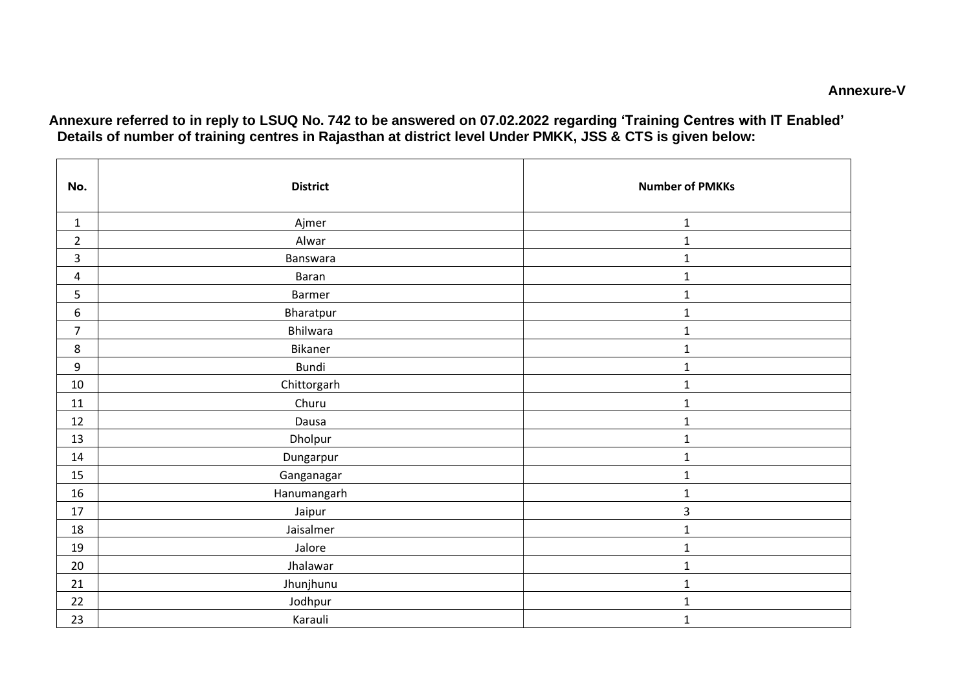**Annexure referred to in reply to LSUQ No. 742 to be answered on 07.02.2022 regarding 'Training Centres with IT Enabled' Details of number of training centres in Rajasthan at district level Under PMKK, JSS & CTS is given below:**

| No.              | <b>District</b> | <b>Number of PMKKs</b> |
|------------------|-----------------|------------------------|
| $\mathbf{1}$     | Ajmer           | $\mathbf{1}$           |
| $\overline{2}$   | Alwar           | $\mathbf 1$            |
| $\overline{3}$   | Banswara        | $\mathbf{1}$           |
| 4                | Baran           | $\mathbf{1}$           |
| 5                | Barmer          | $\mathbf{1}$           |
| $\boldsymbol{6}$ | Bharatpur       | $\mathbf 1$            |
| $\overline{7}$   | Bhilwara        | $\mathbf{1}$           |
| 8                | Bikaner         | $\mathbf{1}$           |
| 9                | Bundi           | $\mathbf{1}$           |
| 10               | Chittorgarh     | $\mathbf{1}$           |
| 11               | Churu           | $\mathbf{1}$           |
| 12               | Dausa           | $\mathbf{1}$           |
| 13               | Dholpur         | $\mathbf{1}$           |
| 14               | Dungarpur       | $\mathbf{1}$           |
| 15               | Ganganagar      | $\mathbf{1}$           |
| 16               | Hanumangarh     | $\mathbf{1}$           |
| 17               | Jaipur          | 3                      |
| 18               | Jaisalmer       | $\mathbf{1}$           |
| 19               | Jalore          | $\mathbf{1}$           |
| 20               | Jhalawar        | $\mathbf{1}$           |
| 21               | Jhunjhunu       | $\mathbf{1}$           |
| 22               | Jodhpur         | $\mathbf{1}$           |
| 23               | Karauli         | $\mathbf{1}$           |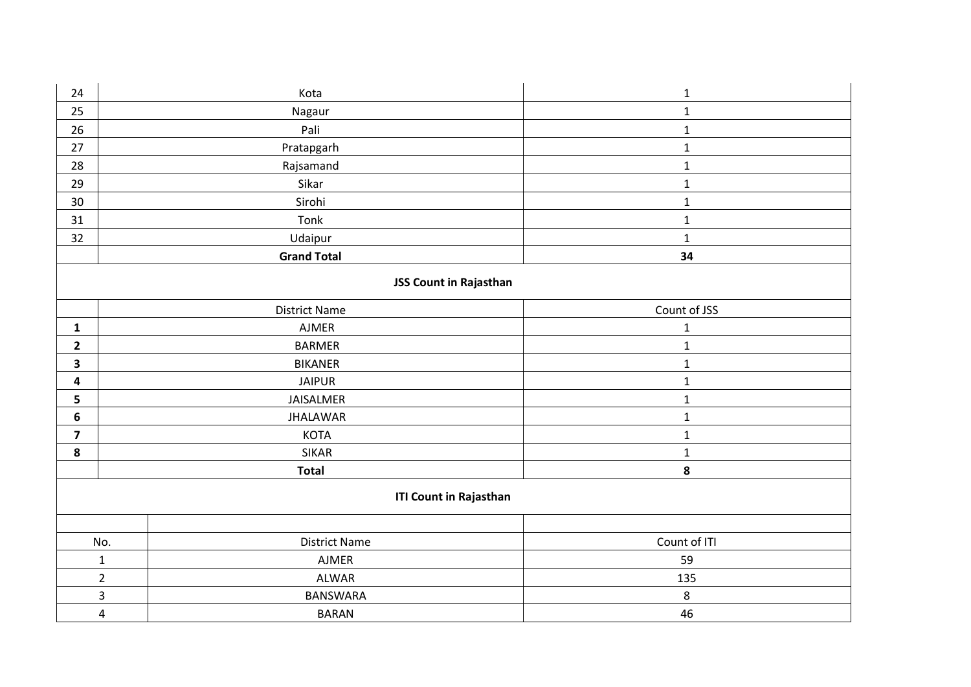| 24                      | Kota                            | $\mathbf 1$  |  |  |
|-------------------------|---------------------------------|--------------|--|--|
| 25                      | Nagaur                          | $\mathbf 1$  |  |  |
| 26                      | Pali                            | $\mathbf 1$  |  |  |
| 27                      | Pratapgarh                      | $\mathbf 1$  |  |  |
| 28                      | Rajsamand                       | $\mathbf 1$  |  |  |
| 29                      | Sikar                           | $\mathbf 1$  |  |  |
| 30                      | Sirohi                          | $\mathbf 1$  |  |  |
| 31                      | Tonk                            | $\mathbf 1$  |  |  |
| 32                      | Udaipur                         | $\mathbf 1$  |  |  |
|                         | <b>Grand Total</b>              | 34           |  |  |
| JSS Count in Rajasthan  |                                 |              |  |  |
|                         | <b>District Name</b>            | Count of JSS |  |  |
| $\mathbf{1}$            | AJMER                           | $\mathbf 1$  |  |  |
| $\overline{2}$          | <b>BARMER</b>                   | $\mathbf{1}$ |  |  |
| $\overline{\mathbf{3}}$ | <b>BIKANER</b>                  | $\mathbf 1$  |  |  |
| $\overline{\mathbf{4}}$ | <b>JAIPUR</b>                   | $\mathbf 1$  |  |  |
| 5                       | JAISALMER                       | $\mathbf 1$  |  |  |
| 6                       | <b>JHALAWAR</b>                 | $\mathbf{1}$ |  |  |
| $\overline{\mathbf{z}}$ | KOTA                            | $\mathbf 1$  |  |  |
| 8                       | <b>SIKAR</b>                    | $\mathbf 1$  |  |  |
|                         | <b>Total</b>                    | ${\bf 8}$    |  |  |
|                         | <b>ITI Count in Rajasthan</b>   |              |  |  |
|                         |                                 |              |  |  |
|                         | <b>District Name</b><br>No.     | Count of ITI |  |  |
|                         | $\mathbf 1$<br>AJMER            | 59           |  |  |
|                         | $\overline{2}$<br><b>ALWAR</b>  | 135          |  |  |
|                         | $\mathsf{3}$<br><b>BANSWARA</b> | 8            |  |  |
|                         | $\overline{4}$<br><b>BARAN</b>  | 46           |  |  |